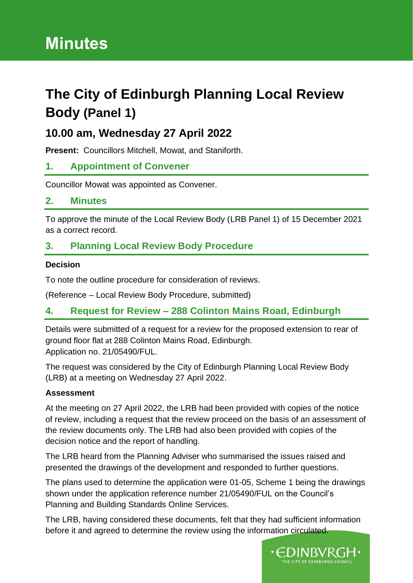# **Minutes**

## **The City of Edinburgh Planning Local Review Body (Panel 1)**

## **10.00 am, Wednesday 27 April 2022**

**Present:** Councillors Mitchell, Mowat, and Staniforth.

## **1. Appointment of Convener**

Councillor Mowat was appointed as Convener.

#### **2. Minutes**

To approve the minute of the Local Review Body (LRB Panel 1) of 15 December 2021 as a correct record.

## **3. Planning Local Review Body Procedure**

#### **Decision**

To note the outline procedure for consideration of reviews.

(Reference – Local Review Body Procedure, submitted)

## **4. Request for Review – 288 Colinton Mains Road, Edinburgh**

Details were submitted of a request for a review for the proposed extension to rear of ground floor flat at 288 Colinton Mains Road, Edinburgh. Application no. 21/05490/FUL.

The request was considered by the City of Edinburgh Planning Local Review Body (LRB) at a meeting on Wednesday 27 April 2022.

#### **Assessment**

At the meeting on 27 April 2022, the LRB had been provided with copies of the notice of review, including a request that the review proceed on the basis of an assessment of the review documents only. The LRB had also been provided with copies of the decision notice and the report of handling.

The LRB heard from the Planning Adviser who summarised the issues raised and presented the drawings of the development and responded to further questions.

The plans used to determine the application were 01-05, Scheme 1 being the drawings shown under the application reference number 21/05490/FUL on the Council's Planning and Building Standards Online Services.

The LRB, having considered these documents, felt that they had sufficient information before it and agreed to determine the review using the information circulated.

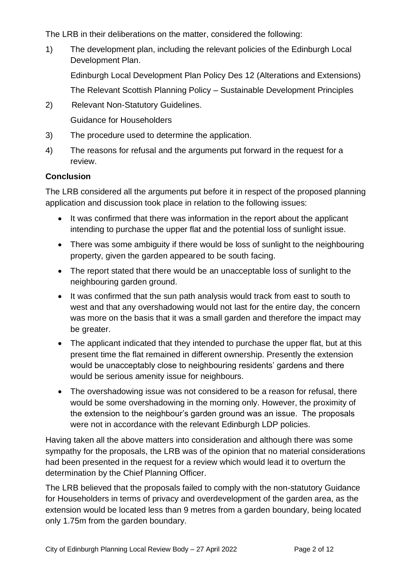The LRB in their deliberations on the matter, considered the following:

1) The development plan, including the relevant policies of the Edinburgh Local Development Plan.

Edinburgh Local Development Plan Policy Des 12 (Alterations and Extensions)

The Relevant Scottish Planning Policy – Sustainable Development Principles

2) Relevant Non-Statutory Guidelines.

Guidance for Householders

- 3) The procedure used to determine the application.
- 4) The reasons for refusal and the arguments put forward in the request for a review.

#### **Conclusion**

The LRB considered all the arguments put before it in respect of the proposed planning application and discussion took place in relation to the following issues:

- It was confirmed that there was information in the report about the applicant intending to purchase the upper flat and the potential loss of sunlight issue.
- There was some ambiguity if there would be loss of sunlight to the neighbouring property, given the garden appeared to be south facing.
- The report stated that there would be an unacceptable loss of sunlight to the neighbouring garden ground.
- It was confirmed that the sun path analysis would track from east to south to west and that any overshadowing would not last for the entire day, the concern was more on the basis that it was a small garden and therefore the impact may be greater.
- The applicant indicated that they intended to purchase the upper flat, but at this present time the flat remained in different ownership. Presently the extension would be unacceptably close to neighbouring residents' gardens and there would be serious amenity issue for neighbours.
- The overshadowing issue was not considered to be a reason for refusal, there would be some overshadowing in the morning only. However, the proximity of the extension to the neighbour's garden ground was an issue. The proposals were not in accordance with the relevant Edinburgh LDP policies.

Having taken all the above matters into consideration and although there was some sympathy for the proposals, the LRB was of the opinion that no material considerations had been presented in the request for a review which would lead it to overturn the determination by the Chief Planning Officer.

The LRB believed that the proposals failed to comply with the non-statutory Guidance for Householders in terms of privacy and overdevelopment of the garden area, as the extension would be located less than 9 metres from a garden boundary, being located only 1.75m from the garden boundary.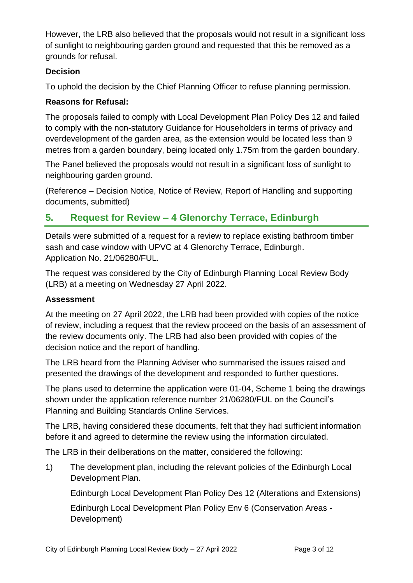However, the LRB also believed that the proposals would not result in a significant loss of sunlight to neighbouring garden ground and requested that this be removed as a grounds for refusal.

#### **Decision**

To uphold the decision by the Chief Planning Officer to refuse planning permission.

#### **Reasons for Refusal:**

The proposals failed to comply with Local Development Plan Policy Des 12 and failed to comply with the non-statutory Guidance for Householders in terms of privacy and overdevelopment of the garden area, as the extension would be located less than 9 metres from a garden boundary, being located only 1.75m from the garden boundary.

The Panel believed the proposals would not result in a significant loss of sunlight to neighbouring garden ground.

(Reference – Decision Notice, Notice of Review, Report of Handling and supporting documents, submitted)

## **5. Request for Review – 4 Glenorchy Terrace, Edinburgh**

Details were submitted of a request for a review to replace existing bathroom timber sash and case window with UPVC at 4 Glenorchy Terrace, Edinburgh. Application No. 21/06280/FUL.

The request was considered by the City of Edinburgh Planning Local Review Body (LRB) at a meeting on Wednesday 27 April 2022.

#### **Assessment**

At the meeting on 27 April 2022, the LRB had been provided with copies of the notice of review, including a request that the review proceed on the basis of an assessment of the review documents only. The LRB had also been provided with copies of the decision notice and the report of handling.

The LRB heard from the Planning Adviser who summarised the issues raised and presented the drawings of the development and responded to further questions.

The plans used to determine the application were 01-04, Scheme 1 being the drawings shown under the application reference number 21/06280/FUL on the Council's Planning and Building Standards Online Services.

The LRB, having considered these documents, felt that they had sufficient information before it and agreed to determine the review using the information circulated.

The LRB in their deliberations on the matter, considered the following:

1) The development plan, including the relevant policies of the Edinburgh Local Development Plan.

Edinburgh Local Development Plan Policy Des 12 (Alterations and Extensions)

Edinburgh Local Development Plan Policy Env 6 (Conservation Areas - Development)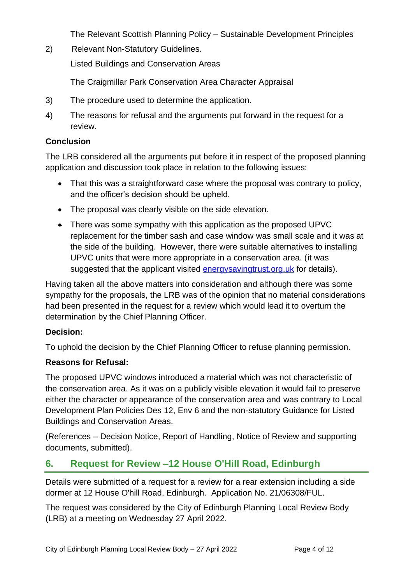The Relevant Scottish Planning Policy – Sustainable Development Principles

2) Relevant Non-Statutory Guidelines.

Listed Buildings and Conservation Areas

The Craigmillar Park Conservation Area Character Appraisal

- 3) The procedure used to determine the application.
- 4) The reasons for refusal and the arguments put forward in the request for a review.

#### **Conclusion**

The LRB considered all the arguments put before it in respect of the proposed planning application and discussion took place in relation to the following issues:

- That this was a straightforward case where the proposal was contrary to policy, and the officer's decision should be upheld.
- The proposal was clearly visible on the side elevation.
- There was some sympathy with this application as the proposed UPVC replacement for the timber sash and case window was small scale and it was at the side of the building. However, there were suitable alternatives to installing UPVC units that were more appropriate in a conservation area. (it was suggested that the applicant visited energy saving trust.org.uk for details).

Having taken all the above matters into consideration and although there was some sympathy for the proposals, the LRB was of the opinion that no material considerations had been presented in the request for a review which would lead it to overturn the determination by the Chief Planning Officer.

#### **Decision:**

To uphold the decision by the Chief Planning Officer to refuse planning permission.

#### **Reasons for Refusal:**

The proposed UPVC windows introduced a material which was not characteristic of the conservation area. As it was on a publicly visible elevation it would fail to preserve either the character or appearance of the conservation area and was contrary to Local Development Plan Policies Des 12, Env 6 and the non-statutory Guidance for Listed Buildings and Conservation Areas.

(References – Decision Notice, Report of Handling, Notice of Review and supporting documents, submitted).

## **6. Request for Review –12 House O'Hill Road, Edinburgh**

Details were submitted of a request for a review for a rear extension including a side dormer at 12 House O'hill Road, Edinburgh. Application No. 21/06308/FUL.

The request was considered by the City of Edinburgh Planning Local Review Body (LRB) at a meeting on Wednesday 27 April 2022.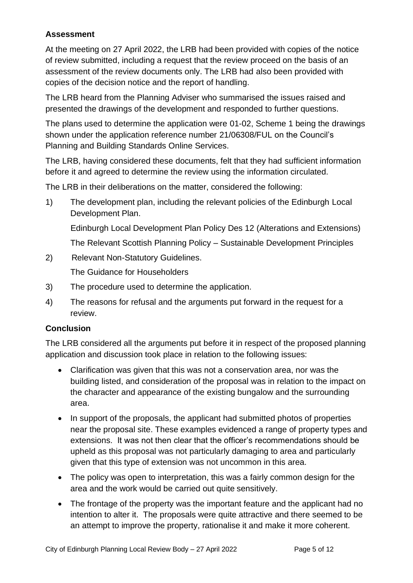#### **Assessment**

At the meeting on 27 April 2022, the LRB had been provided with copies of the notice of review submitted, including a request that the review proceed on the basis of an assessment of the review documents only. The LRB had also been provided with copies of the decision notice and the report of handling.

The LRB heard from the Planning Adviser who summarised the issues raised and presented the drawings of the development and responded to further questions.

The plans used to determine the application were 01-02, Scheme 1 being the drawings shown under the application reference number 21/06308/FUL on the Council's Planning and Building Standards Online Services.

The LRB, having considered these documents, felt that they had sufficient information before it and agreed to determine the review using the information circulated.

The LRB in their deliberations on the matter, considered the following:

1) The development plan, including the relevant policies of the Edinburgh Local Development Plan.

Edinburgh Local Development Plan Policy Des 12 (Alterations and Extensions)

The Relevant Scottish Planning Policy – Sustainable Development Principles

2) Relevant Non-Statutory Guidelines.

The Guidance for Householders

- 3) The procedure used to determine the application.
- 4) The reasons for refusal and the arguments put forward in the request for a review.

#### **Conclusion**

The LRB considered all the arguments put before it in respect of the proposed planning application and discussion took place in relation to the following issues:

- Clarification was given that this was not a conservation area, nor was the building listed, and consideration of the proposal was in relation to the impact on the character and appearance of the existing bungalow and the surrounding area.
- In support of the proposals, the applicant had submitted photos of properties near the proposal site. These examples evidenced a range of property types and extensions. It was not then clear that the officer's recommendations should be upheld as this proposal was not particularly damaging to area and particularly given that this type of extension was not uncommon in this area.
- The policy was open to interpretation, this was a fairly common design for the area and the work would be carried out quite sensitively.
- The frontage of the property was the important feature and the applicant had no intention to alter it. The proposals were quite attractive and there seemed to be an attempt to improve the property, rationalise it and make it more coherent.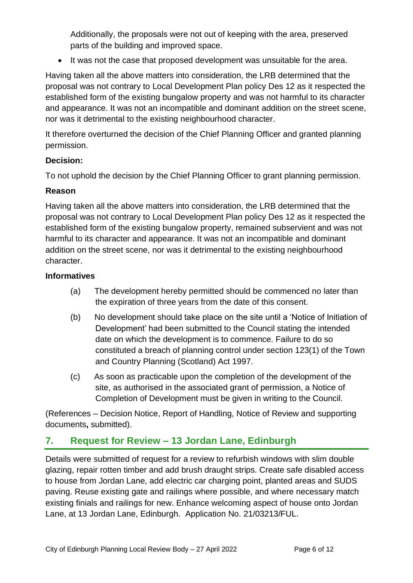Additionally, the proposals were not out of keeping with the area, preserved parts of the building and improved space.

• It was not the case that proposed development was unsuitable for the area.

Having taken all the above matters into consideration, the LRB determined that the proposal was not contrary to Local Development Plan policy Des 12 as it respected the established form of the existing bungalow property and was not harmful to its character and appearance. It was not an incompatible and dominant addition on the street scene, nor was it detrimental to the existing neighbourhood character.

It therefore overturned the decision of the Chief Planning Officer and granted planning permission.

#### **Decision:**

To not uphold the decision by the Chief Planning Officer to grant planning permission.

#### **Reason**

Having taken all the above matters into consideration, the LRB determined that the proposal was not contrary to Local Development Plan policy Des 12 as it respected the established form of the existing bungalow property, remained subservient and was not harmful to its character and appearance. It was not an incompatible and dominant addition on the street scene, nor was it detrimental to the existing neighbourhood character.

#### **Informatives**

- (a)The development hereby permitted should be commenced no later than the expiration of three years from the date of this consent.
- (b) No development should take place on the site until a 'Notice of Initiation of Development' had been submitted to the Council stating the intended date on which the development is to commence. Failure to do so constituted a breach of planning control under section 123(1) of the Town and Country Planning (Scotland) Act 1997.
- (c) As soon as practicable upon the completion of the development of the site, as authorised in the associated grant of permission, a Notice of Completion of Development must be given in writing to the Council.

(References – Decision Notice, Report of Handling, Notice of Review and supporting documents**,** submitted).

## **7. Request for Review – 13 Jordan Lane, Edinburgh**

Details were submitted of request for a review to refurbish windows with slim double glazing, repair rotten timber and add brush draught strips. Create safe disabled access to house from Jordan Lane, add electric car charging point, planted areas and SUDS paving. Reuse existing gate and railings where possible, and where necessary match existing finials and railings for new. Enhance welcoming aspect of house onto Jordan Lane, at 13 Jordan Lane, Edinburgh. Application No. 21/03213/FUL.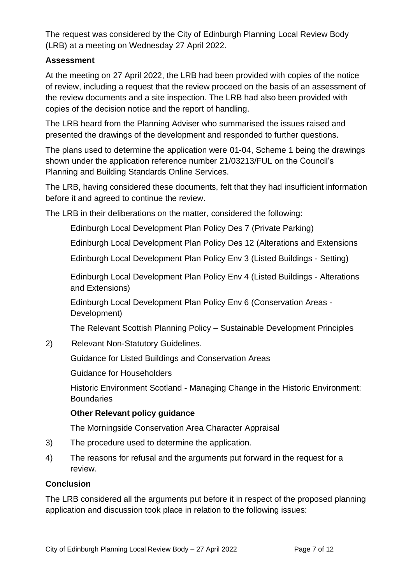The request was considered by the City of Edinburgh Planning Local Review Body (LRB) at a meeting on Wednesday 27 April 2022.

#### **Assessment**

At the meeting on 27 April 2022, the LRB had been provided with copies of the notice of review, including a request that the review proceed on the basis of an assessment of the review documents and a site inspection. The LRB had also been provided with copies of the decision notice and the report of handling.

The LRB heard from the Planning Adviser who summarised the issues raised and presented the drawings of the development and responded to further questions.

The plans used to determine the application were 01-04, Scheme 1 being the drawings shown under the application reference number 21/03213/FUL on the Council's Planning and Building Standards Online Services.

The LRB, having considered these documents, felt that they had insufficient information before it and agreed to continue the review.

The LRB in their deliberations on the matter, considered the following:

Edinburgh Local Development Plan Policy Des 7 (Private Parking)

Edinburgh Local Development Plan Policy Des 12 (Alterations and Extensions

Edinburgh Local Development Plan Policy Env 3 (Listed Buildings - Setting)

Edinburgh Local Development Plan Policy Env 4 (Listed Buildings - Alterations and Extensions)

Edinburgh Local Development Plan Policy Env 6 (Conservation Areas - Development)

The Relevant Scottish Planning Policy – Sustainable Development Principles

2) Relevant Non-Statutory Guidelines.

Guidance for Listed Buildings and Conservation Areas

Guidance for Householders

Historic Environment Scotland - Managing Change in the Historic Environment: **Boundaries** 

#### **Other Relevant policy guidance**

The Morningside Conservation Area Character Appraisal

- 3) The procedure used to determine the application.
- 4) The reasons for refusal and the arguments put forward in the request for a review.

#### **Conclusion**

The LRB considered all the arguments put before it in respect of the proposed planning application and discussion took place in relation to the following issues: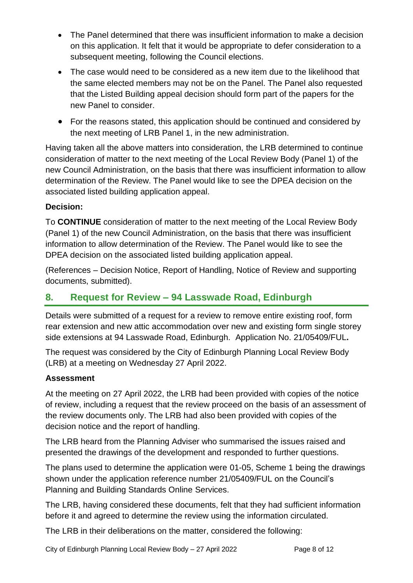- The Panel determined that there was insufficient information to make a decision on this application. It felt that it would be appropriate to defer consideration to a subsequent meeting, following the Council elections.
- The case would need to be considered as a new item due to the likelihood that the same elected members may not be on the Panel. The Panel also requested that the Listed Building appeal decision should form part of the papers for the new Panel to consider.
- For the reasons stated, this application should be continued and considered by the next meeting of LRB Panel 1, in the new administration.

Having taken all the above matters into consideration, the LRB determined to continue consideration of matter to the next meeting of the Local Review Body (Panel 1) of the new Council Administration, on the basis that there was insufficient information to allow determination of the Review. The Panel would like to see the DPEA decision on the associated listed building application appeal.

#### **Decision:**

To **CONTINUE** consideration of matter to the next meeting of the Local Review Body (Panel 1) of the new Council Administration, on the basis that there was insufficient information to allow determination of the Review. The Panel would like to see the DPEA decision on the associated listed building application appeal.

(References – Decision Notice, Report of Handling, Notice of Review and supporting documents, submitted).

## **8. Request for Review – 94 Lasswade Road, Edinburgh**

Details were submitted of a request for a review to remove entire existing roof, form rear extension and new attic accommodation over new and existing form single storey side extensions at 94 Lasswade Road, Edinburgh. Application No. 21/05409/FUL**.**

The request was considered by the City of Edinburgh Planning Local Review Body (LRB) at a meeting on Wednesday 27 April 2022.

#### **Assessment**

At the meeting on 27 April 2022, the LRB had been provided with copies of the notice of review, including a request that the review proceed on the basis of an assessment of the review documents only. The LRB had also been provided with copies of the decision notice and the report of handling.

The LRB heard from the Planning Adviser who summarised the issues raised and presented the drawings of the development and responded to further questions.

The plans used to determine the application were 01-05, Scheme 1 being the drawings shown under the application reference number 21/05409/FUL on the Council's Planning and Building Standards Online Services.

The LRB, having considered these documents, felt that they had sufficient information before it and agreed to determine the review using the information circulated.

The LRB in their deliberations on the matter, considered the following:

City of Edinburgh Planning Local Review Body – 27 April 2022 Page 8 of 12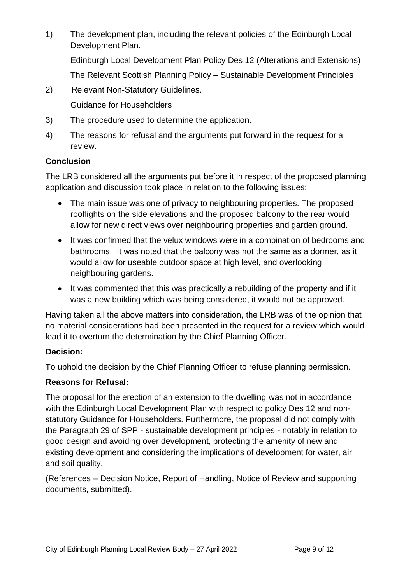1) The development plan, including the relevant policies of the Edinburgh Local Development Plan.

Edinburgh Local Development Plan Policy Des 12 (Alterations and Extensions) The Relevant Scottish Planning Policy – Sustainable Development Principles

- 2) Relevant Non-Statutory Guidelines. Guidance for Householders
- 3) The procedure used to determine the application.
- 4) The reasons for refusal and the arguments put forward in the request for a review.

#### **Conclusion**

The LRB considered all the arguments put before it in respect of the proposed planning application and discussion took place in relation to the following issues:

- The main issue was one of privacy to neighbouring properties. The proposed rooflights on the side elevations and the proposed balcony to the rear would allow for new direct views over neighbouring properties and garden ground.
- It was confirmed that the velux windows were in a combination of bedrooms and bathrooms. It was noted that the balcony was not the same as a dormer, as it would allow for useable outdoor space at high level, and overlooking neighbouring gardens.
- It was commented that this was practically a rebuilding of the property and if it was a new building which was being considered, it would not be approved.

Having taken all the above matters into consideration, the LRB was of the opinion that no material considerations had been presented in the request for a review which would lead it to overturn the determination by the Chief Planning Officer.

#### **Decision:**

To uphold the decision by the Chief Planning Officer to refuse planning permission.

#### **Reasons for Refusal:**

The proposal for the erection of an extension to the dwelling was not in accordance with the Edinburgh Local Development Plan with respect to policy Des 12 and nonstatutory Guidance for Householders. Furthermore, the proposal did not comply with the Paragraph 29 of SPP - sustainable development principles - notably in relation to good design and avoiding over development, protecting the amenity of new and existing development and considering the implications of development for water, air and soil quality.

(References – Decision Notice, Report of Handling, Notice of Review and supporting documents, submitted).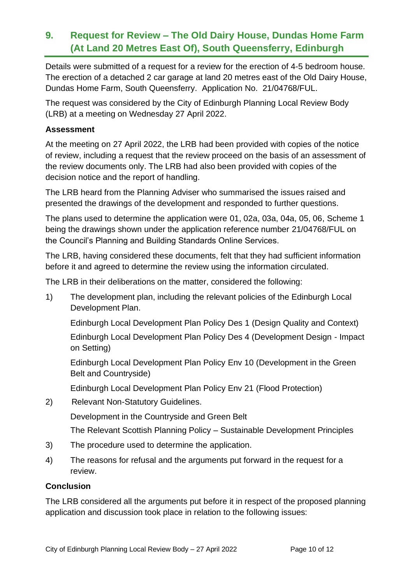## **9. Request for Review – The Old Dairy House, Dundas Home Farm (At Land 20 Metres East Of), South Queensferry, Edinburgh**

Details were submitted of a request for a review for the erection of 4-5 bedroom house. The erection of a detached 2 car garage at land 20 metres east of the Old Dairy House, Dundas Home Farm, South Queensferry. Application No. 21/04768/FUL.

The request was considered by the City of Edinburgh Planning Local Review Body (LRB) at a meeting on Wednesday 27 April 2022.

#### **Assessment**

At the meeting on 27 April 2022, the LRB had been provided with copies of the notice of review, including a request that the review proceed on the basis of an assessment of the review documents only. The LRB had also been provided with copies of the decision notice and the report of handling.

The LRB heard from the Planning Adviser who summarised the issues raised and presented the drawings of the development and responded to further questions.

The plans used to determine the application were 01, 02a, 03a, 04a, 05, 06, Scheme 1 being the drawings shown under the application reference number 21/04768/FUL on the Council's Planning and Building Standards Online Services.

The LRB, having considered these documents, felt that they had sufficient information before it and agreed to determine the review using the information circulated.

The LRB in their deliberations on the matter, considered the following:

1) The development plan, including the relevant policies of the Edinburgh Local Development Plan.

Edinburgh Local Development Plan Policy Des 1 (Design Quality and Context)

Edinburgh Local Development Plan Policy Des 4 (Development Design - Impact on Setting)

Edinburgh Local Development Plan Policy Env 10 (Development in the Green Belt and Countryside)

Edinburgh Local Development Plan Policy Env 21 (Flood Protection)

2) Relevant Non-Statutory Guidelines.

Development in the Countryside and Green Belt

The Relevant Scottish Planning Policy – Sustainable Development Principles

- 3) The procedure used to determine the application.
- 4) The reasons for refusal and the arguments put forward in the request for a review.

#### **Conclusion**

The LRB considered all the arguments put before it in respect of the proposed planning application and discussion took place in relation to the following issues: